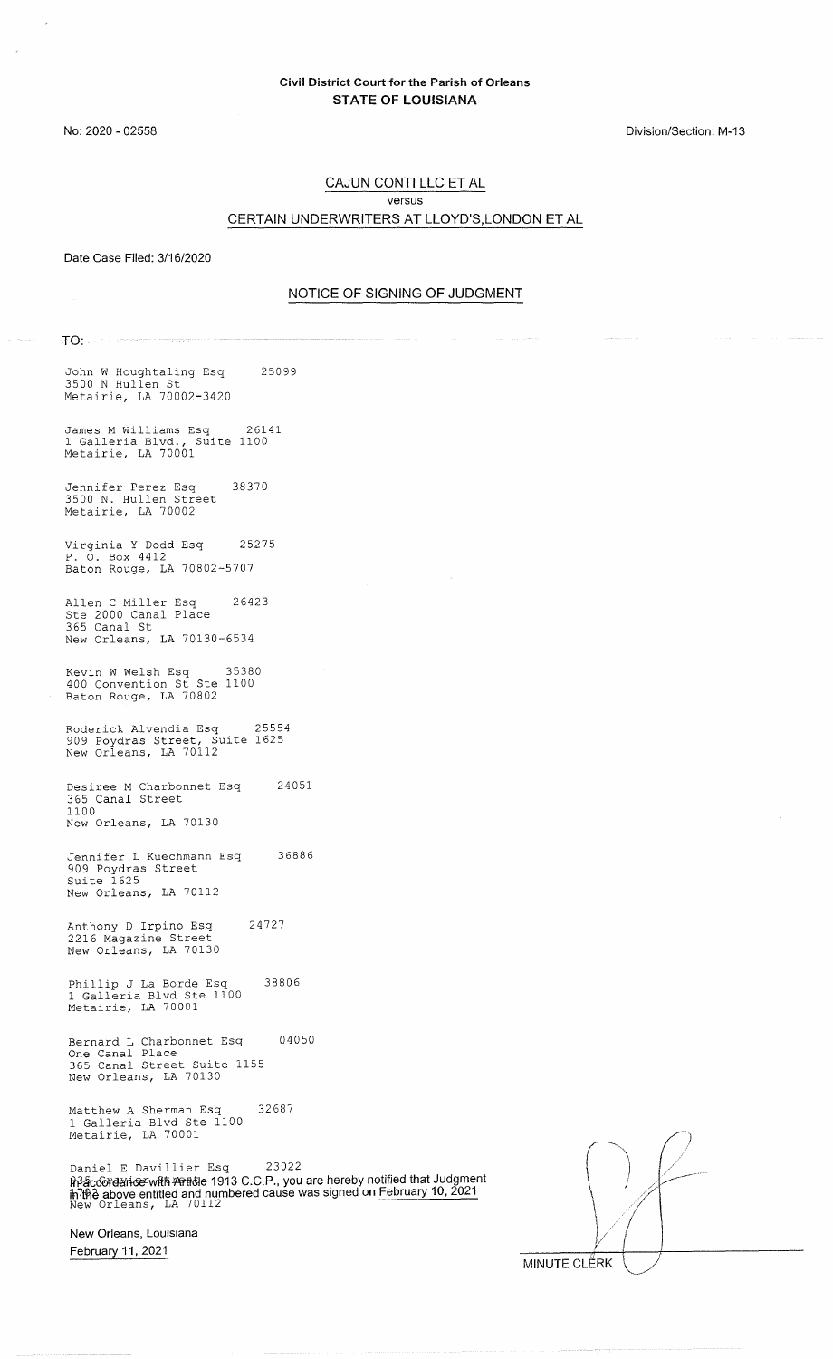Division/Section: M-13

#### CAJUN CONTI LLC ET AL versus CERTAIN UNDERWRITERS AT LLOYD'S,LONDON ET AL

Date Case Filed: 3/16/2020

#### NOTICE OF SIGNING OF JUDGMENT

TO:.

John W Houghtaling Esq 3500 N Hullen St Metairie, LA 70002-3420 25099

James M Williams Esq 26141 1 Galleria Blvd., Suite 1100 Metairie, LA 70001

Jennifer Perez Esq 38370 3500 N. Hullen Street Metairie, LA 70002

Virginia Y Dodd Esq 25275 P. 0. Box 4412 Baton Rouge, LA 70802-5707

Allen C Miller Esq 26423 Ste 2000 Canal Place 365 Canal St New Orleans, LA 70130-6534

Kevin W Welsh Esq 35380 400 Convention St Ste 1100 Baton Rouge, LA 70802

Roderick Alvendia Esq 25554 909 Poydras Street, Suite 1625 New Orleans, LA 70112

Desiree M Charbonnet Esq 365 Canal Street 1100 New Orleans, LA 70130 24051

Jennifer L Kuechmann Esq 36886 909 Poydras Street Suite 1625 New Orleans, LA 70112

Anthony D Irpino Esq 24727 2216 Magazine Street New Orleans, LA 70130

Phillip J La Borde Esq 38806 1 Galleria Blvd Ste 1100 Metairie, LA 70001

Bernard L Charbonnet Esq 04050 One Canal Place 365 Canal Street Suite 1155 New Orleans, LA 70130

Matthew A Sherman Esq 32687 1 Galleria Blvd Ste 1100 Metairie, LA 70001

Daniel E Davillier Esq 23022 <del>h3acoorgarioe wRh Arrio</del>le 1913 C.C.P., you are hereby notified that Judgment iĥ<sup>7</sup>tĥe above entitled and numbered cause was signed on <u>February 10, 2021</u><br>New Orleans,LA 70112

New Orleans, Louisiana February 11, 2021

 $\bigcap$  $\vert$  ,  $\vert$  $\mathcal{V}$ y MINUTE CLERK